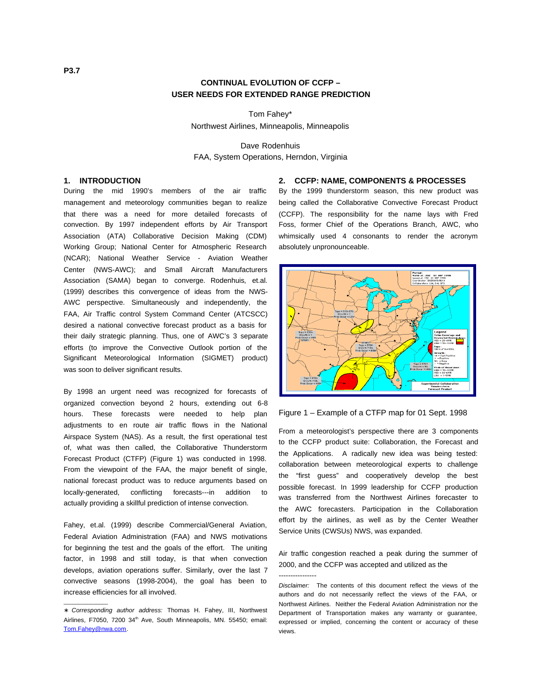# **CONTINUAL EVOLUTION OF CCFP – USER NEEDS FOR EXTENDED RANGE PREDICTION**

Tom Fahey\* Northwest Airlines, Minneapolis, Minneapolis

Dave Rodenhuis FAA, System Operations, Herndon, Virginia

# **1. INTRODUCTION**

During the mid 1990's members of the air traffic management and meteorology communities began to realize that there was a need for more detailed forecasts of convection. By 1997 independent efforts by Air Transport Association (ATA) Collaborative Decision Making (CDM) Working Group; National Center for Atmospheric Research (NCAR); National Weather Service - Aviation Weather Center (NWS-AWC); and Small Aircraft Manufacturers Association (SAMA) began to converge. Rodenhuis, et.al. (1999) describes this convergence of ideas from the NWS-AWC perspective. Simultaneously and independently, the FAA, Air Traffic control System Command Center (ATCSCC) desired a national convective forecast product as a basis for their daily strategic planning. Thus, one of AWC's 3 separate efforts (to improve the Convective Outlook portion of the Significant Meteorological Information (SIGMET) product) was soon to deliver significant results.

By 1998 an urgent need was recognized for forecasts of organized convection beyond 2 hours, extending out 6-8 hours. These forecasts were needed to help plan adjustments to en route air traffic flows in the National Airspace System (NAS). As a result, the first operational test of, what was then called, the Collaborative Thunderstorm Forecast Product (CTFP) (Figure 1) was conducted in 1998. From the viewpoint of the FAA, the major benefit of single, national forecast product was to reduce arguments based on locally-generated, conflicting forecasts---in addition to actually providing a skillful prediction of intense convection.

Fahey, et.al. (1999) describe Commercial/General Aviation, Federal Aviation Administration (FAA) and NWS motivations for beginning the test and the goals of the effort. The uniting factor, in 1998 and still today, is that when convection develops, aviation operations suffer. Similarly, over the last 7 convective seasons (1998-2004), the goal has been to increase efficiencies for all involved.

 $\overline{\phantom{a}}$  , where  $\overline{\phantom{a}}$ 

# **2. CCFP: NAME, COMPONENTS & PROCESSES**

By the 1999 thunderstorm season, this new product was being called the Collaborative Convective Forecast Product (CCFP). The responsibility for the name lays with Fred Foss, former Chief of the Operations Branch, AWC, who whimsically used 4 consonants to render the acronym absolutely unpronounceable.



Figure 1 – Example of a CTFP map for 01 Sept. 1998

From a meteorologist's perspective there are 3 components to the CCFP product suite: Collaboration, the Forecast and the Applications. A radically new idea was being tested: collaboration between meteorological experts to challenge the "first guess" and cooperatively develop the best possible forecast. In 1999 leadership for CCFP production was transferred from the Northwest Airlines forecaster to the AWC forecasters. Participation in the Collaboration effort by the airlines, as well as by the Center Weather Service Units (CWSUs) NWS, was expanded.

Air traffic congestion reached a peak during the summer of 2000, and the CCFP was accepted and utilized as the ----------------

Disclaimer: The contents of this document reflect the views of the authors and do not necessarily reflect the views of the FAA, or Northwest Airlines. Neither the Federal Aviation Administration nor the Department of Transportation makes any warranty or guarantee, expressed or implied, concerning the content or accuracy of these views.

<sup>∗</sup> Corresponding author address: Thomas H. Fahey, III, Northwest Airlines, F7050, 7200 34<sup>th</sup> Ave, South Minneapolis, MN. 55450; email: [Tom.Fahey@nwa.com](mailto:Tom.Fahey@nwa.com) .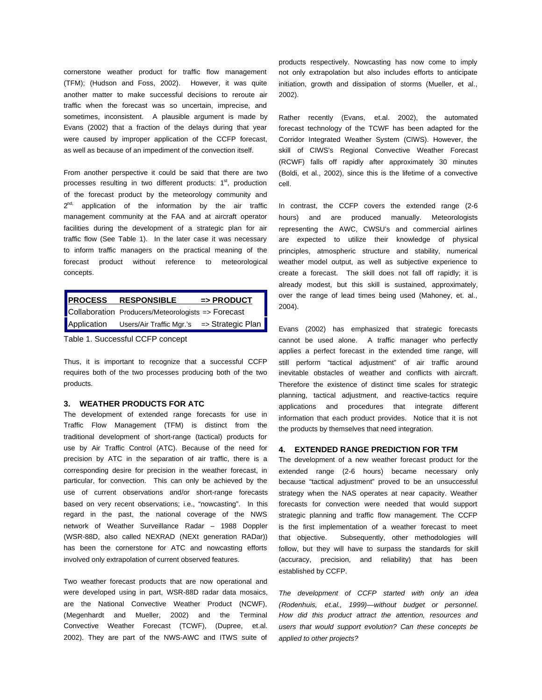cornerstone weather product for traffic flow management (TFM); (Hudson and Foss, 2002). However, it was quite another matter to make successful decisions to reroute air traffic when the forecast was so uncertain, imprecise, and sometimes, inconsistent. A plausible argument is made by Evans (2002) that a fraction of the delays during that year were caused by improper application of the CCFP forecast, as well as because of an impediment of the convection itself.

From another perspective it could be said that there are two processes resulting in two different products:  $1<sup>st</sup>$ , production of the forecast product by the meteorology community and 2<sup>nd,</sup> application of the information by the air traffic management community at the FAA and at aircraft operator facilities during the development of a strategic plan for air traffic flow (See Table 1). In the later case it was necessary to inform traffic managers on the practical meaning of the forecast product without reference to meteorological concepts.

| <b>PROCESS</b> | <b>RESPONSIBLE</b>                                    | $\Rightarrow$ PRODUCT |
|----------------|-------------------------------------------------------|-----------------------|
|                | Collaboration Producers/Meteorologists => Forecast    |                       |
| Application    | Users/Air Traffic Mgr.'s $\Rightarrow$ Strategic Plan |                       |

Table 1. Successful CCFP concept

Thus, it is important to recognize that a successful CCFP requires both of the two processes producing both of the two products.

#### **3. WEATHER PRODUCTS FOR ATC**

The development of extended range forecasts for use in Traffic Flow Management (TFM) is distinct from the traditional development of short-range (tactical) products for use by Air Traffic Control (ATC). Because of the need for precision by ATC in the separation of air traffic, there is a corresponding desire for precision in the weather forecast, in particular, for convection. This can only be achieved by the use of current observations and/or short-range forecasts based on very recent observations; i.e., "nowcasting". In this regard in the past, the national coverage of the NWS network of Weather Surveillance Radar – 1988 Doppler (WSR-88D, also called NEXRAD (NEXt generation RADar)) has been the cornerstone for ATC and nowcasting efforts involved only extrapolation of current observed features.

Two weather forecast products that are now operational and were developed using in part, WSR-88D radar data mosaics, are the National Convective Weather Product (NCWF), (Megenhardt and Mueller, 2002) and the Terminal Convective Weather Forecast (TCWF), (Dupree, et.al. 2002). They are part of the NWS-AWC and ITWS suite of

products respectively. Nowcasting has now come to imply not only extrapolation but also includes efforts to anticipate initiation, growth and dissipation of storms (Mueller, et al., 2002).

Rather recently (Evans, et.al. 2002), the automated forecast technology of the TCWF has been adapted for the Corridor Integrated Weather System (CIWS). However, the skill of CIWS's Regional Convective Weather Forecast (RCWF) falls off rapidly after approximately 30 minutes (Boldi, et al., 2002), since this is the lifetime of a convective cell.

In contrast, the CCFP covers the extended range (2-6 hours) and are produced manually. Meteorologists representing the AWC, CWSU's and commercial airlines are expected to utilize their knowledge of physical principles, atmospheric structure and stability, numerical weather model output, as well as subjective experience to create a forecast. The skill does not fall off rapidly; it is already modest, but this skill is sustained, approximately, over the range of lead times being used (Mahoney, et. al., 2004).

Evans (2002) has emphasized that strategic forecasts cannot be used alone. A traffic manager who perfectly applies a perfect forecast in the extended time range, will still perform "tactical adjustment" of air traffic around inevitable obstacles of weather and conflicts with aircraft. Therefore the existence of distinct time scales for strategic planning, tactical adjustment, and reactive-tactics require applications and procedures that integrate different information that each product provides. Notice that it is not the products by themselves that need integration.

#### **4. EXTENDED RANGE PREDICTION FOR TFM**

The development of a new weather forecast product for the extended range (2-6 hours) became necessary only because "tactical adjustment" proved to be an unsuccessful strategy when the NAS operates at near capacity. Weather forecasts for convection were needed that would support strategic planning and traffic flow management. The CCFP is the first implementation of a weather forecast to meet that objective. Subsequently, other methodologies will follow, but they will have to surpass the standards for skill (accuracy, precision, and reliability) that has been established by CCFP.

The development of CCFP started with only an idea (Rodenhuis, et.al., 1999)—without budget or personnel. How did this product attract the attention, resources and users that would support evolution? Can these concepts be applied to other projects?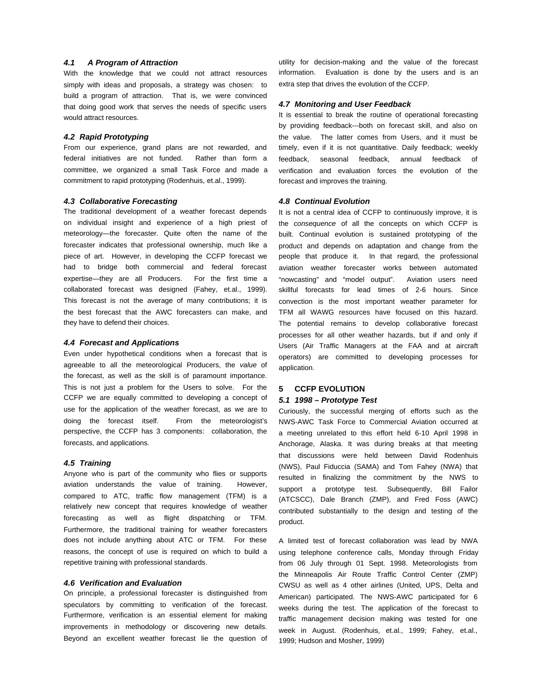# **4.1 A Program of Attraction**

With the knowledge that we could not attract resources simply with ideas and proposals, a strategy was chosen: to build a program of attraction. That is, we were convinced that doing good work that serves the needs of specific users would attract resources.

## **4.2 Rapid Prototyping**

From our experience, grand plans are not rewarded, and federal initiatives are not funded. Rather than form a committee, we organized a small Task Force and made a commitment to rapid prototyping (Rodenhuis, et.al., 1999).

## **4.3 Collaborative Forecasting**

The traditional development of a weather forecast depends on individual insight and experience of a high priest of meteorology—the forecaster. Quite often the name of the forecaster indicates that professional ownership, much like a piece of art. However, in developing the CCFP forecast we had to bridge both commercial and federal forecast expertise—they are all Producers. For the first time a collaborated forecast was designed (Fahey, et.al., 1999). This forecast is not the average of many contributions; it is the best forecast that the AWC forecasters can make, and they have to defend their choices.

#### **4.4 Forecast and Applications**

Even under hypothetical conditions when a forecast that is agreeable to all the meteorological Producers, the value of the forecast, as well as the skill is of paramount importance. This is not just a problem for the Users to solve. For the CCFP we are equally committed to developing a concept of use for the application of the weather forecast, as we are to doing the forecast itself. From the meteorologist's perspective, the CCFP has 3 components: collaboration, the forecasts, and applications.

#### **4.5 Training**

Anyone who is part of the community who flies or supports aviation understands the value of training. However, compared to ATC, traffic flow management (TFM) is a relatively new concept that requires knowledge of weather forecasting as well as flight dispatching or TFM. Furthermore, the traditional training for weather forecasters does not include anything about ATC or TFM. For these reasons, the concept of use is required on which to build a repetitive training with professional standards.

#### **4.6 Verification and Evaluation**

On principle, a professional forecaster is distinguished from speculators by committing to verification of the forecast. Furthermore, verification is an essential element for making improvements in methodology or discovering new details. Beyond an excellent weather forecast lie the question of

utility for decision-making and the value of the forecast information. Evaluation is done by the users and is an extra step that drives the evolution of the CCFP.

#### **4.7 Monitoring and User Feedback**

It is essential to break the routine of operational forecasting by providing feedback---both on forecast skill, and also on the value. The latter comes from Users, and it must be timely, even if it is not quantitative. Daily feedback; weekly feedback, seasonal feedback, annual feedback of verification and evaluation forces the evolution of the forecast and improves the training.

#### **4.8 Continual Evolution**

It is not a central idea of CCFP to continuously improve, it is the consequence of all the concepts on which CCFP is built. Continual evolution is sustained prototyping of the product and depends on adaptation and change from the people that produce it. In that regard, the professional aviation weather forecaster works between automated "nowcasting" and "model output". Aviation users need skillful forecasts for lead times of 2-6 hours. Since convection is the most important weather parameter for TFM all WAWG resources have focused on this hazard. The potential remains to develop collaborative forecast processes for all other weather hazards, but if and only if Users (Air Traffic Managers at the FAA and at aircraft operators) are committed to developing processes for application.

# **5 CCFP EVOLUTION**

### **5.1 1998 – Prototype Test**

Curiously, the successful merging of efforts such as the NWS-AWC Task Force to Commercial Aviation occurred at a meeting unrelated to this effort held 6-10 April 1998 in Anchorage, Alaska. It was during breaks at that meeting that discussions were held between David Rodenhuis (NWS), Paul Fiduccia (SAMA) and Tom Fahey (NWA) that resulted in finalizing the commitment by the NWS to support a prototype test. Subsequently, Bill Failor (ATCSCC), Dale Branch (ZMP), and Fred Foss (AWC) contributed substantially to the design and testing of the product.

A limited test of forecast collaboration was lead by NWA using telephone conference calls, Monday through Friday from 06 July through 01 Sept. 1998. Meteorologists from the Minneapolis Air Route Traffic Control Center (ZMP) CWSU as well as 4 other airlines (United, UPS, Delta and American) participated. The NWS-AWC participated for 6 weeks during the test. The application of the forecast to traffic management decision making was tested for one week in August. (Rodenhuis, et.al., 1999; Fahey, et.al., 1999; Hudson and Mosher, 1999)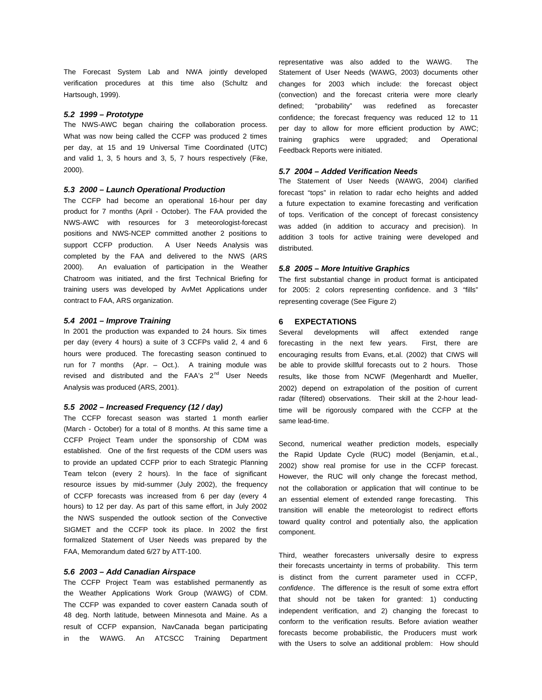The Forecast System Lab and NWA jointly developed verification procedures at this time also (Schultz and Hartsough, 1999).

#### **5.2 1999 – Prototype**

The NWS-AWC began chairing the collaboration process. What was now being called the CCFP was produced 2 times per day, at 15 and 19 Universal Time Coordinated (UTC) and valid 1, 3, 5 hours and 3, 5, 7 hours respectively (Fike, 2000).

### **5.3 2000 – Launch Operational Production**

The CCFP had become an operational 16-hour per day product for 7 months (April - October). The FAA provided the NWS-AWC with resources for 3 meteorologist-forecast positions and NWS-NCEP committed another 2 positions to support CCFP production. A User Needs Analysis was completed by the FAA and delivered to the NWS (ARS 2000). An evaluation of participation in the Weather Chatroom was initiated, and the first Technical Briefing for training users was developed by AvMet Applications under contract to FAA, ARS organization.

## **5.4 2001 – Improve Training**

In 2001 the production was expanded to 24 hours. Six times per day (every 4 hours) a suite of 3 CCFPs valid 2, 4 and 6 hours were produced. The forecasting season continued to run for 7 months (Apr. – Oct.). A training module was revised and distributed and the FAA's 2<sup>nd</sup> User Needs Analysis was produced (ARS, 2001).

#### **5.5 2002 – Increased Frequency (12 / day)**

The CCFP forecast season was started 1 month earlier (March - October) for a total of 8 months. At this same time a CCFP Project Team under the sponsorship of CDM was established. One of the first requests of the CDM users was to provide an updated CCFP prior to each Strategic Planning Team telcon (every 2 hours). In the face of significant resource issues by mid-summer (July 2002), the frequency of CCFP forecasts was increased from 6 per day (every 4 hours) to 12 per day. As part of this same effort, in July 2002 the NWS suspended the outlook section of the Convective SIGMET and the CCFP took its place. In 2002 the first formalized Statement of User Needs was prepared by the FAA, Memorandum dated 6/27 by ATT-100.

#### **5.6 2003 – Add Canadian Airspace**

The CCFP Project Team was established permanently as the Weather Applications Work Group (WAWG) of CDM. The CCFP was expanded to cover eastern Canada south of 48 deg. North latitude, between Minnesota and Maine. As a result of CCFP expansion, NavCanada began participating in the WAWG. An ATCSCC Training Department representative was also added to the WAWG. The Statement of User Needs (WAWG, 2003) documents other changes for 2003 which include: the forecast object (convection) and the forecast criteria were more clearly defined; "probability" was redefined as forecaster confidence; the forecast frequency was reduced 12 to 11 per day to allow for more efficient production by AWC; training graphics were upgraded; and Operational Feedback Reports were initiated.

#### **5.7 2004 – Added Verification Needs**

The Statement of User Needs (WAWG, 2004) clarified forecast "tops" in relation to radar echo heights and added a future expectation to examine forecasting and verification of tops. Verification of the concept of forecast consistency was added (in addition to accuracy and precision). In addition 3 tools for active training were developed and distributed.

#### **5.8 2005 – More Intuitive Graphics**

The first substantial change in product format is anticipated for 2005: 2 colors representing confidence. and 3 "fills" representing coverage (See Figure 2)

#### **6 EXPECTATIONS**

Several developments will affect extended range forecasting in the next few years. First, there are encouraging results from Evans, et.al. (2002) that CIWS will be able to provide skillful forecasts out to 2 hours. Those results, like those from NCWF (Megenhardt and Mueller, 2002) depend on extrapolation of the position of current radar (filtered) observations. Their skill at the 2-hour leadtime will be rigorously compared with the CCFP at the same lead-time.

Second, numerical weather prediction models, especially the Rapid Update Cycle (RUC) model (Benjamin, et.al., 2002) show real promise for use in the CCFP forecast. However, the RUC will only change the forecast method, not the collaboration or application that will continue to be an essential element of extended range forecasting. This transition will enable the meteorologist to redirect efforts toward quality control and potentially also, the application component.

Third, weather forecasters universally desire to express their forecasts uncertainty in terms of probability. This term is distinct from the current parameter used in CCFP, confidence. The difference is the result of some extra effort that should not be taken for granted: 1) conducting independent verification, and 2) changing the forecast to conform to the verification results. Before aviation weather forecasts become probabilistic, the Producers must work with the Users to solve an additional problem: How should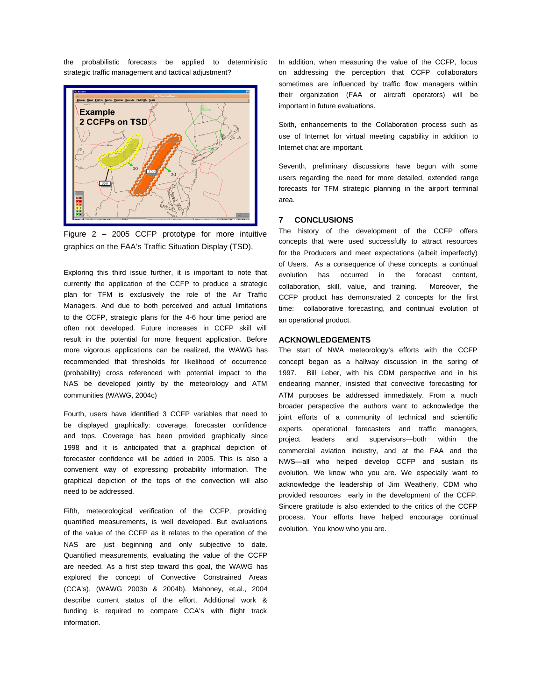the probabilistic forecasts be applied to deterministic strategic traffic management and tactical adjustment?



Figure 2 – 2005 CCFP prototype for more intuitive graphics on the FAA's Traffic Situation Display (TSD).

Exploring this third issue further, it is important to note that currently the application of the CCFP to produce a strategic plan for TFM is exclusively the role of the Air Traffic Managers. And due to both perceived and actual limitations to the CCFP, strategic plans for the 4-6 hour time period are often not developed. Future increases in CCFP skill will result in the potential for more frequent application. Before more vigorous applications can be realized, the WAWG has recommended that thresholds for likelihood of occurrence (probability) cross referenced with potential impact to the NAS be developed jointly by the meteorology and ATM communities (WAWG, 2004c)

Fourth, users have identified 3 CCFP variables that need to be displayed graphically: coverage, forecaster confidence and tops. Coverage has been provided graphically since 1998 and it is anticipated that a graphical depiction of forecaster confidence will be added in 2005. This is also a convenient way of expressing probability information. The graphical depiction of the tops of the convection will also need to be addressed.

Fifth, meteorological verification of the CCFP, providing quantified measurements, is well developed. But evaluations of the value of the CCFP as it relates to the operation of the NAS are just beginning and only subjective to date. Quantified measurements, evaluating the value of the CCFP are needed. As a first step toward this goal, the WAWG has explored the concept of Convective Constrained Areas (CCA's), (WAWG 2003b & 2004b). Mahoney, et.al., 2004 describe current status of the effort. Additional work & funding is required to compare CCA's with flight track information.

In addition, when measuring the value of the CCFP, focus on addressing the perception that CCFP collaborators sometimes are influenced by traffic flow managers within their organization (FAA or aircraft operators) will be important in future evaluations.

Sixth, enhancements to the Collaboration process such as use of Internet for virtual meeting capability in addition to Internet chat are important.

Seventh, preliminary discussions have begun with some users regarding the need for more detailed, extended range forecasts for TFM strategic planning in the airport terminal area.

# **7 CONCLUSIONS**

The history of the development of the CCFP offers concepts that were used successfully to attract resources for the Producers and meet expectations (albeit imperfectly) of Users. As a consequence of these concepts, a continual evolution has occurred in the forecast content, collaboration, skill, value, and training. Moreover, the CCFP product has demonstrated 2 concepts for the first time: collaborative forecasting, and continual evolution of an operational product.

## **ACKNOWLEDGEMENTS**

The start of NWA meteorology's efforts with the CCFP concept began as a hallway discussion in the spring of 1997. Bill Leber, with his CDM perspective and in his endearing manner, insisted that convective forecasting for ATM purposes be addressed immediately. From a much broader perspective the authors want to acknowledge the joint efforts of a community of technical and scientific experts, operational forecasters and traffic managers, project leaders and supervisors—both within the commercial aviation industry, and at the FAA and the NWS—all who helped develop CCFP and sustain its evolution. We know who you are. We especially want to acknowledge the leadership of Jim Weatherly, CDM who provided resources early in the development of the CCFP. Sincere gratitude is also extended to the critics of the CCFP process. Your efforts have helped encourage continual evolution. You know who you are.